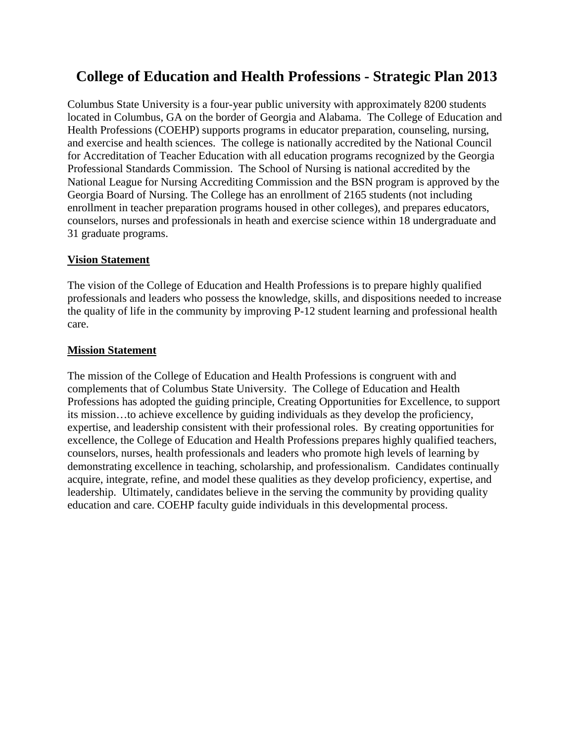# **College of Education and Health Professions - Strategic Plan 2013**

Columbus State University is a four-year public university with approximately 8200 students located in Columbus, GA on the border of Georgia and Alabama. The College of Education and Health Professions (COEHP) supports programs in educator preparation, counseling, nursing, and exercise and health sciences. The college is nationally accredited by the National Council for Accreditation of Teacher Education with all education programs recognized by the Georgia Professional Standards Commission. The School of Nursing is national accredited by the National League for Nursing Accrediting Commission and the BSN program is approved by the Georgia Board of Nursing. The College has an enrollment of 2165 students (not including enrollment in teacher preparation programs housed in other colleges), and prepares educators, counselors, nurses and professionals in heath and exercise science within 18 undergraduate and 31 graduate programs.

### **Vision Statement**

The vision of the College of Education and Health Professions is to prepare highly qualified professionals and leaders who possess the knowledge, skills, and dispositions needed to increase the quality of life in the community by improving P-12 student learning and professional health care.

## **Mission Statement**

The mission of the College of Education and Health Professions is congruent with and complements that of Columbus State University. The College of Education and Health Professions has adopted the guiding principle, Creating Opportunities for Excellence, to support its mission…to achieve excellence by guiding individuals as they develop the proficiency, expertise, and leadership consistent with their professional roles. By creating opportunities for excellence, the College of Education and Health Professions prepares highly qualified teachers, counselors, nurses, health professionals and leaders who promote high levels of learning by demonstrating excellence in teaching, scholarship, and professionalism. Candidates continually acquire, integrate, refine, and model these qualities as they develop proficiency, expertise, and leadership. Ultimately, candidates believe in the serving the community by providing quality education and care. COEHP faculty guide individuals in this developmental process.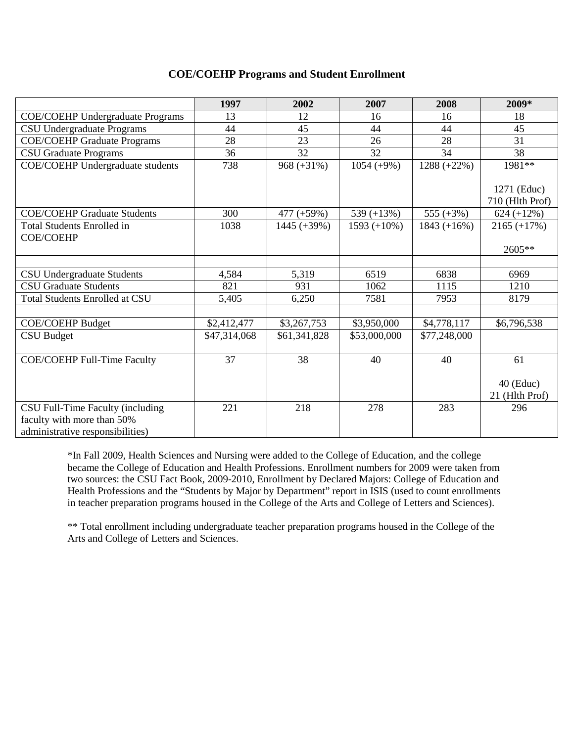### **COE/COEHP Programs and Student Enrollment**

|                                                                                                    | 1997         | 2002           | 2007           | 2008          | 2009*                          |
|----------------------------------------------------------------------------------------------------|--------------|----------------|----------------|---------------|--------------------------------|
| <b>COE/COEHP Undergraduate Programs</b>                                                            | 13           | 12             | 16             | 16            | 18                             |
| <b>CSU Undergraduate Programs</b>                                                                  | 44           | 45             | 44             | 44            | 45                             |
| <b>COE/COEHP Graduate Programs</b>                                                                 | 28           | 23             | 26             | 28            | 31                             |
| <b>CSU Graduate Programs</b>                                                                       | 36           | 32             | 32             | 34            | 38                             |
| <b>COE/COEHP</b> Undergraduate students                                                            | 738          | $968 (+31\%)$  | $1054 (+9%)$   | $1288 (+22%)$ | 1981**                         |
|                                                                                                    |              |                |                |               | 1271 (Educ)<br>710 (Hlth Prof) |
| <b>COE/COEHP Graduate Students</b>                                                                 | 300          | 477 (+59%)     | 539 $(+13%)$   | 555 $(+3%)$   | $624 (+12\%)$                  |
| <b>Total Students Enrolled in</b>                                                                  | 1038         | $1445 (+39\%)$ | $1593 (+10\%)$ | $1843 (+16%)$ | $2165 (+17%)$                  |
| <b>COE/COEHP</b>                                                                                   |              |                |                |               | $2605**$                       |
|                                                                                                    |              |                |                |               |                                |
| <b>CSU Undergraduate Students</b>                                                                  | 4,584        | 5,319          | 6519           | 6838          | 6969                           |
| <b>CSU Graduate Students</b>                                                                       | 821          | 931            | 1062           | 1115          | 1210                           |
| <b>Total Students Enrolled at CSU</b>                                                              | 5,405        | 6,250          | 7581           | 7953          | 8179                           |
|                                                                                                    |              |                |                |               |                                |
| <b>COE/COEHP Budget</b>                                                                            | \$2,412,477  | \$3,267,753    | \$3,950,000    | \$4,778,117   | \$6,796,538                    |
| <b>CSU Budget</b>                                                                                  | \$47,314,068 | \$61,341,828   | \$53,000,000   | \$77,248,000  |                                |
| <b>COE/COEHP Full-Time Faculty</b>                                                                 | 37           | 38             | 40             | 40            | 61                             |
|                                                                                                    |              |                |                |               | $40$ (Educ)<br>21 (Hlth Prof)  |
| CSU Full-Time Faculty (including<br>faculty with more than 50%<br>administrative responsibilities) | 221          | 218            | 278            | 283           | 296                            |

\*In Fall 2009, Health Sciences and Nursing were added to the College of Education, and the college became the College of Education and Health Professions. Enrollment numbers for 2009 were taken from two sources: the CSU Fact Book, 2009-2010, Enrollment by Declared Majors: College of Education and Health Professions and the "Students by Major by Department" report in ISIS (used to count enrollments in teacher preparation programs housed in the College of the Arts and College of Letters and Sciences).

\*\* Total enrollment including undergraduate teacher preparation programs housed in the College of the Arts and College of Letters and Sciences.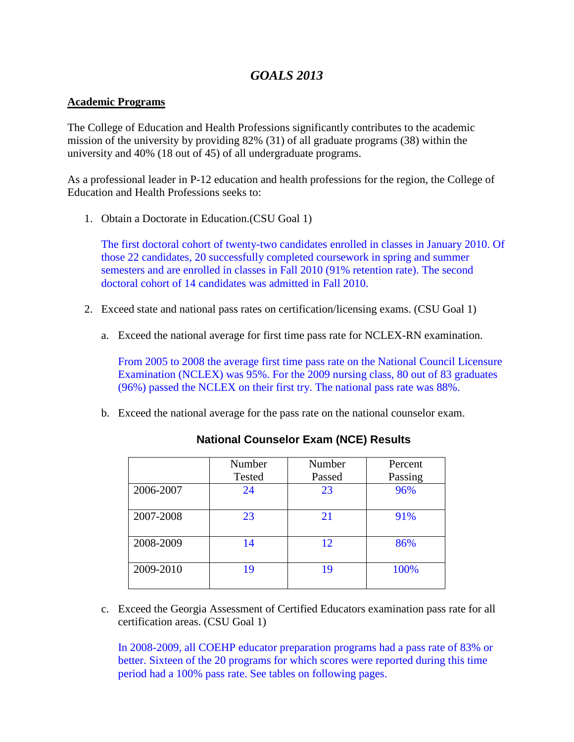# *GOALS 2013*

### **Academic Programs**

The College of Education and Health Professions significantly contributes to the academic mission of the university by providing 82% (31) of all graduate programs (38) within the university and 40% (18 out of 45) of all undergraduate programs.

As a professional leader in P-12 education and health professions for the region, the College of Education and Health Professions seeks to:

1. Obtain a Doctorate in Education.(CSU Goal 1)

The first doctoral cohort of twenty-two candidates enrolled in classes in January 2010. Of those 22 candidates, 20 successfully completed coursework in spring and summer semesters and are enrolled in classes in Fall 2010 (91% retention rate). The second doctoral cohort of 14 candidates was admitted in Fall 2010.

- 2. Exceed state and national pass rates on certification/licensing exams. (CSU Goal 1)
	- a. Exceed the national average for first time pass rate for NCLEX-RN examination.

From 2005 to 2008 the average first time pass rate on the National Council Licensure Examination (NCLEX) was 95%. For the 2009 nursing class, 80 out of 83 graduates (96%) passed the NCLEX on their first try. The national pass rate was 88%.

b. Exceed the national average for the pass rate on the national counselor exam.

|           | Number<br>Tested | Number<br>Passed | Percent<br>Passing |
|-----------|------------------|------------------|--------------------|
| 2006-2007 | 24               | 23               | 96%                |
| 2007-2008 | 23               | 21               | 91%                |
| 2008-2009 | 14               | 12               | 86%                |
| 2009-2010 | 19               | 19               | 100%               |

### **National Counselor Exam (NCE) Results**

c. Exceed the Georgia Assessment of Certified Educators examination pass rate for all certification areas. (CSU Goal 1)

In 2008-2009, all COEHP educator preparation programs had a pass rate of 83% or better. Sixteen of the 20 programs for which scores were reported during this time period had a 100% pass rate. See tables on following pages.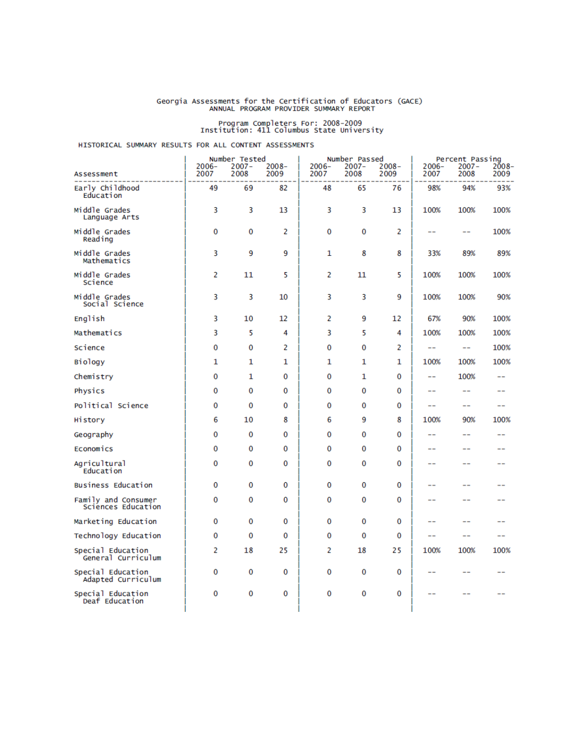# Georgia Assessments for the Certification of Educators (GACE)<br>ANNUAL PROGRAM PROVIDER SUMMARY REPORT

# Program Completers For: 2008-2009<br>Institution: 411 Columbus State University

#### HISTORICAL SUMMARY RESULTS FOR ALL CONTENT ASSESSMENTS

|                                           |                  | Number Tested<br>$2007 -$ |                  |               | Number Passed<br>$2007 -$ |                  |                  | Percent Passing  |               |
|-------------------------------------------|------------------|---------------------------|------------------|---------------|---------------------------|------------------|------------------|------------------|---------------|
| Assessment                                | $2006 -$<br>2007 | 2008                      | $2008 -$<br>2009 | 2006-<br>2007 | 2008                      | $2008 -$<br>2009 | $2006 -$<br>2007 | $2007 -$<br>2008 | 2008-<br>2009 |
| Early Childhood<br>Education              | 49               | 69                        | 82               | 48            | 65                        | 76               | 98%              | 94%              | 93%           |
| Middle Grades<br>Language Arts            | 3                | 3                         | 13               | 3             | 3                         | 13               | 100%             | 100%             | 100%          |
| Middle Grades<br>Reading                  | 0                | 0                         | 2                | 0             | 0                         | 2                | --               | --               | 100%          |
| Middle Grades<br>Mathematics              | 3                | 9                         | 9                | 1             | 8                         | 8                | 33%              | 89%              | 89%           |
| Middle Grades<br>Science                  | 2                | 11                        | 5                | 2             | 11                        | 5                | 100%             | 100%             | 100%          |
| Middle Grades<br>Social Science           | 3                | 3                         | 10               | 3             | 3                         | 9                | 100%             | 100%             | 90%           |
| English                                   | 3                | 10                        | 12               | 2             | 9                         | 12               | 67%              | 90%              | 100%          |
| Mathematics                               | 3                | 5                         | 4                | 3             | 5                         | 4                | 100%             | 100%             | 100%          |
| Science                                   | 0                | 0                         | 2                | 0             | 0                         | 2                | $- -$            | $-$              | 100%          |
| Biology                                   | 1                | 1                         | 1                | 1             | 1                         | 1                | 100%             | 100%             | 100%          |
| Chemistry                                 | 0                | 1                         | 0                | $\bf{0}$      | 1                         | $\Omega$         | --               | 100%             | --            |
| Physics                                   | 0                | 0                         | 0                | 0             | 0                         | 0                | --               | --               |               |
| Political Science                         | 0                | 0                         | 0                | $\bf{0}$      | 0                         | 0                | $- -$            | $-$              | $- -$         |
| History                                   | 6                | 10                        | 8                | 6             | 9                         | 8                | 100%             | 90%              | 100%          |
| Geography                                 | 0                | 0                         | 0                | $\Omega$      | 0                         | 0                | --               | --               | --            |
| Economics                                 | 0                | 0                         | 0                | 0             | 0                         | 0                | --               | --               | --            |
| Agricultural<br>Education                 | $\bf{0}$         | 0                         | 0                | $\bf{0}$      | 0                         | 0                | --               | --               |               |
| Business Education                        | 0                | 0                         | 0                | 0             | 0                         | 0                | --               | --               |               |
| Family and Consumer<br>Sciences Education | 0                | 0                         | 0                | 0             | 0                         | 0                | --               | --               | --            |
| Marketing Education                       | 0                | 0                         | 0                | 0             | 0                         | 0                | --               | --               | --            |
| Technology Education                      | 0                | 0                         | 0                | 0             | 0                         | 0                | --               | --               | --            |
| Special Education<br>General Curriculum   | 2                | 18                        | 25               | 2             | 18                        | 25               | 100%             | 100%             | 100%          |
| Special Education<br>Adapted Curriculum   | 0                | 0                         | 0                | 0             | 0                         | 0                | --               | --               | --            |
| Special Education<br>Deaf Education       | 0                | 0                         | 0                | 0             | 0                         | 0                | --               |                  |               |
|                                           |                  |                           |                  |               |                           |                  |                  |                  |               |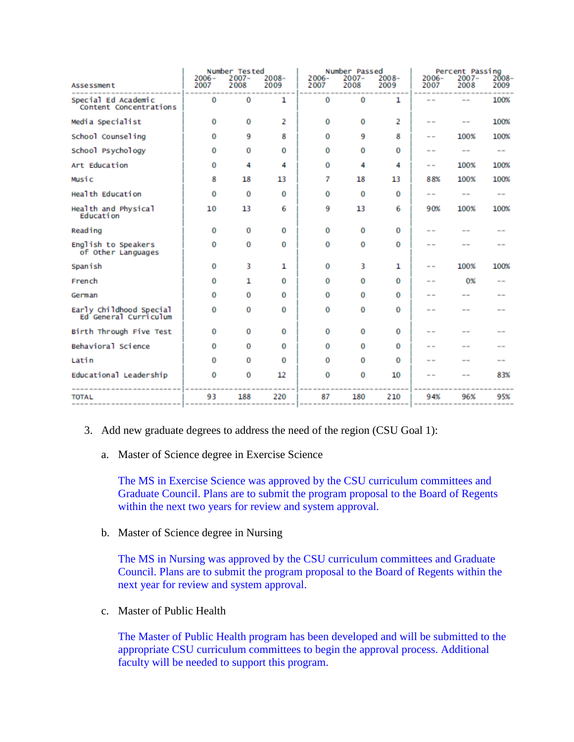|                                                  | Number Tested    |                  | Number Passed    |                  |                  | Percent Passing  |                 |                  |               |
|--------------------------------------------------|------------------|------------------|------------------|------------------|------------------|------------------|-----------------|------------------|---------------|
| Assessment                                       | $2006 -$<br>2007 | $2007 -$<br>2008 | $2008 -$<br>2009 | $2006 -$<br>2007 | $2007 -$<br>2008 | $2008 -$<br>2009 | $2006-$<br>2007 | $2007 -$<br>2008 | 2008-<br>2009 |
| Special Ed Academic<br>Content Concentrations    | 0                | 0                | 1                | $\bf{0}$         | 0                | 1                |                 | $- -$            | 100%          |
| Media Specialist                                 | 0                | 0                | 2                | $\bf{0}$         | 0                | 2                | $- -$           |                  | 100%          |
| School Counseling                                | 0                | 9                | 8                | $\bf{0}$         | 9                | 8                | $- -$           | 100%             | 100%          |
| School Psychology                                | 0                | 0                | 0                | $\bf{0}$         | 0                | $\bf{0}$         | $- -$           | $- -$            | $- -$         |
| Art Education                                    | 0                | 4                | 4                | $\bf{0}$         | 4                | 4                | $- -$           | 100%             | 100%          |
| Music                                            | 8                | 18               | 13               | 7                | 18               | 13               | 88%             | 100%             | 100%          |
| Health Education                                 | 0                | 0                | 0                | $\bf{0}$         | 0                | 0                | --              | $=$ $-$          | $- -$         |
| Health and Physical<br>Education                 | 10               | 13               | 6                | 9                | 13               | 6                | 90%             | 100%             | 100%          |
| Reading                                          | 0                | 0                | 0                | 0                | 0                | 0                |                 |                  |               |
| English to Speakers<br>of Other Languages        | 0                | 0                | 0                | $\bf{0}$         | $\bf{0}$         | 0                |                 |                  |               |
| Spanish                                          | 0                | 3                | 1                | $\bf{0}$         | 3                | 1                | $ -$            | 100%             | 100%          |
| French                                           | 0                | 1                | 0                | $\bf{0}$         | $\bf{0}$         | 0                | --              | 0%               |               |
| German                                           | 0                | 0                | 0                | $\bf{0}$         | 0                | 0                |                 |                  |               |
| Early Childhood Special<br>Ed General Curriculum | 0                | 0                | 0                | 0                | 0                | 0                |                 |                  |               |
| Birth Through Five Test                          | 0                | 0                | $\bf{0}$         | $\bf{0}$         | 0                | $\bf{0}$         |                 |                  |               |
| Behavioral Science                               | 0                | 0                | 0                | $\bf{0}$         | 0                | 0                |                 |                  |               |
| Latin                                            | 0                | 0                | $\bf{0}$         | $\Omega$         | 0                | 0                |                 |                  |               |
| Educational Leadership                           | 0                | 0                | 12               | 0                | $\bf{0}$         | 10               |                 |                  | 83%           |
| <b>TOTAL</b>                                     | 93               | 188              | 220              | 87               | 180              | 210              | 94%             | 96%              | 95%           |
|                                                  |                  |                  |                  |                  |                  |                  |                 |                  |               |

- 3. Add new graduate degrees to address the need of the region (CSU Goal 1):
	- a. Master of Science degree in Exercise Science

The MS in Exercise Science was approved by the CSU curriculum committees and Graduate Council. Plans are to submit the program proposal to the Board of Regents within the next two years for review and system approval.

b. Master of Science degree in Nursing

The MS in Nursing was approved by the CSU curriculum committees and Graduate Council. Plans are to submit the program proposal to the Board of Regents within the next year for review and system approval.

c. Master of Public Health

The Master of Public Health program has been developed and will be submitted to the appropriate CSU curriculum committees to begin the approval process. Additional faculty will be needed to support this program.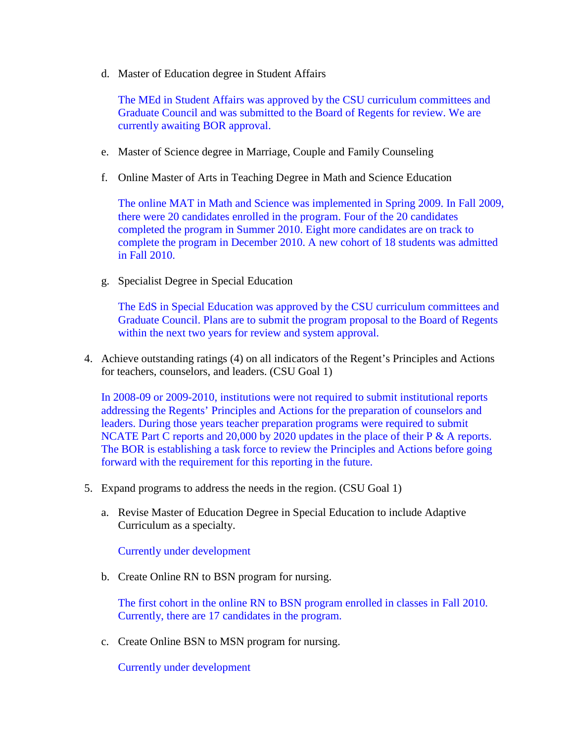d. Master of Education degree in Student Affairs

The MEd in Student Affairs was approved by the CSU curriculum committees and Graduate Council and was submitted to the Board of Regents for review. We are currently awaiting BOR approval.

- e. Master of Science degree in Marriage, Couple and Family Counseling
- f. Online Master of Arts in Teaching Degree in Math and Science Education

The online MAT in Math and Science was implemented in Spring 2009. In Fall 2009, there were 20 candidates enrolled in the program. Four of the 20 candidates completed the program in Summer 2010. Eight more candidates are on track to complete the program in December 2010. A new cohort of 18 students was admitted in Fall 2010.

g. Specialist Degree in Special Education

The EdS in Special Education was approved by the CSU curriculum committees and Graduate Council. Plans are to submit the program proposal to the Board of Regents within the next two years for review and system approval.

4. Achieve outstanding ratings (4) on all indicators of the Regent's Principles and Actions for teachers, counselors, and leaders. (CSU Goal 1)

In 2008-09 or 2009-2010, institutions were not required to submit institutional reports addressing the Regents' Principles and Actions for the preparation of counselors and leaders. During those years teacher preparation programs were required to submit NCATE Part C reports and 20,000 by 2020 updates in the place of their P & A reports. The BOR is establishing a task force to review the Principles and Actions before going forward with the requirement for this reporting in the future.

- 5. Expand programs to address the needs in the region. (CSU Goal 1)
	- a. Revise Master of Education Degree in Special Education to include Adaptive Curriculum as a specialty.

Currently under development

b. Create Online RN to BSN program for nursing.

The first cohort in the online RN to BSN program enrolled in classes in Fall 2010. Currently, there are 17 candidates in the program.

c. Create Online BSN to MSN program for nursing.

Currently under development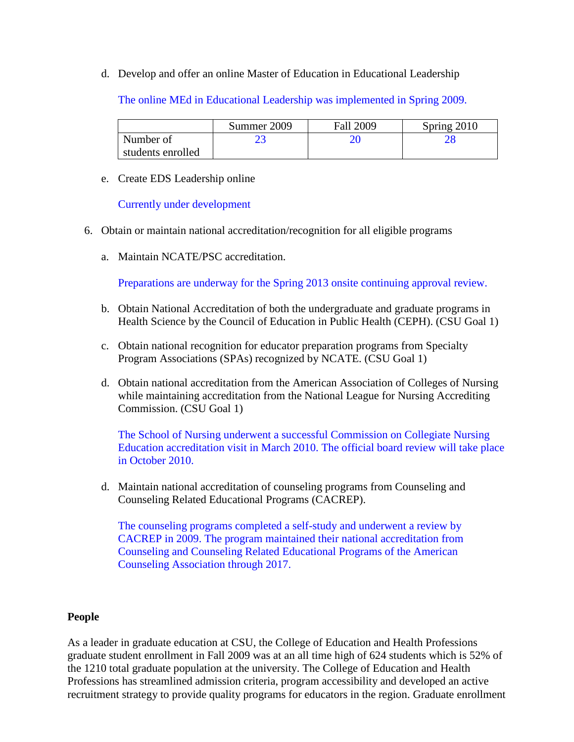d. Develop and offer an online Master of Education in Educational Leadership

The online MEd in Educational Leadership was implemented in Spring 2009.

|                   | Summer 2009 | <b>Fall 2009</b> | Spring 2010 |
|-------------------|-------------|------------------|-------------|
| Number of         |             |                  |             |
| students enrolled |             |                  |             |

e. Create EDS Leadership online

Currently under development

- 6. Obtain or maintain national accreditation/recognition for all eligible programs
	- a. Maintain NCATE/PSC accreditation.

Preparations are underway for the Spring 2013 onsite continuing approval review.

- b. Obtain National Accreditation of both the undergraduate and graduate programs in Health Science by the Council of Education in Public Health (CEPH). (CSU Goal 1)
- c. Obtain national recognition for educator preparation programs from Specialty Program Associations (SPAs) recognized by NCATE. (CSU Goal 1)
- d. Obtain national accreditation from the American Association of Colleges of Nursing while maintaining accreditation from the National League for Nursing Accrediting Commission. (CSU Goal 1)

The School of Nursing underwent a successful Commission on Collegiate Nursing Education accreditation visit in March 2010. The official board review will take place in October 2010.

d. Maintain national accreditation of counseling programs from Counseling and Counseling Related Educational Programs (CACREP).

The counseling programs completed a self-study and underwent a review by CACREP in 2009. The program maintained their national accreditation from Counseling and Counseling Related Educational Programs of the American Counseling Association through 2017.

### **People**

As a leader in graduate education at CSU, the College of Education and Health Professions graduate student enrollment in Fall 2009 was at an all time high of 624 students which is 52% of the 1210 total graduate population at the university. The College of Education and Health Professions has streamlined admission criteria, program accessibility and developed an active recruitment strategy to provide quality programs for educators in the region. Graduate enrollment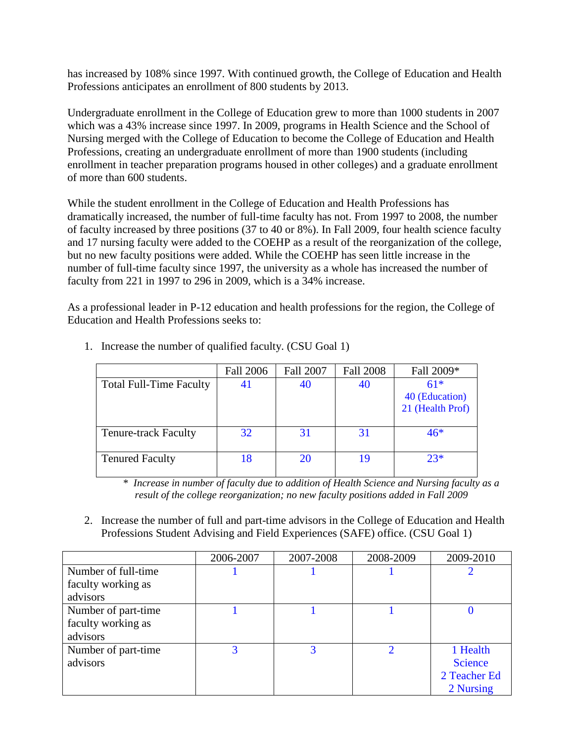has increased by 108% since 1997. With continued growth, the College of Education and Health Professions anticipates an enrollment of 800 students by 2013.

Undergraduate enrollment in the College of Education grew to more than 1000 students in 2007 which was a 43% increase since 1997. In 2009, programs in Health Science and the School of Nursing merged with the College of Education to become the College of Education and Health Professions, creating an undergraduate enrollment of more than 1900 students (including enrollment in teacher preparation programs housed in other colleges) and a graduate enrollment of more than 600 students.

While the student enrollment in the College of Education and Health Professions has dramatically increased, the number of full-time faculty has not. From 1997 to 2008, the number of faculty increased by three positions (37 to 40 or 8%). In Fall 2009, four health science faculty and 17 nursing faculty were added to the COEHP as a result of the reorganization of the college, but no new faculty positions were added. While the COEHP has seen little increase in the number of full-time faculty since 1997, the university as a whole has increased the number of faculty from 221 in 1997 to 296 in 2009, which is a 34% increase.

As a professional leader in P-12 education and health professions for the region, the College of Education and Health Professions seeks to:

|                                | <b>Fall 2006</b> | <b>Fall 2007</b> | <b>Fall 2008</b> | Fall 2009*                         |
|--------------------------------|------------------|------------------|------------------|------------------------------------|
| <b>Total Full-Time Faculty</b> | 41               | 40               | 40               | $61*$                              |
|                                |                  |                  |                  | 40 (Education)<br>21 (Health Prof) |
| <b>Tenure-track Faculty</b>    | 32               | 31               | 31               | $46*$                              |
| <b>Tenured Faculty</b>         | 18               | 20               | 19               | $23*$                              |

1. Increase the number of qualified faculty. (CSU Goal 1)

 \* *Increase in number of faculty due to addition of Health Science and Nursing faculty as a result of the college reorganization; no new faculty positions added in Fall 2009*

2. Increase the number of full and part-time advisors in the College of Education and Health Professions Student Advising and Field Experiences (SAFE) office. (CSU Goal 1)

|                     | 2006-2007 | 2007-2008 | 2008-2009 | 2009-2010      |
|---------------------|-----------|-----------|-----------|----------------|
| Number of full-time |           |           |           |                |
| faculty working as  |           |           |           |                |
| advisors            |           |           |           |                |
| Number of part-time |           |           |           |                |
| faculty working as  |           |           |           |                |
| advisors            |           |           |           |                |
| Number of part-time | 3         | 3         |           | 1 Health       |
| advisors            |           |           |           | <b>Science</b> |
|                     |           |           |           | 2 Teacher Ed   |
|                     |           |           |           | 2 Nursing      |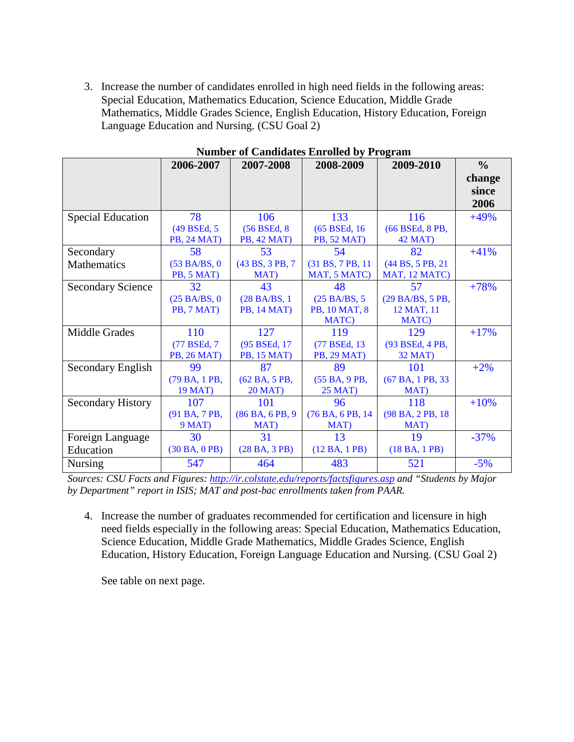3. Increase the number of candidates enrolled in high need fields in the following areas: Special Education, Mathematics Education, Science Education, Middle Grade Mathematics, Middle Grades Science, English Education, History Education, Foreign Language Education and Nursing. (CSU Goal 2)

|                          | 2006-2007           | 2007-2008          | $\cdots$<br>2008-2009 | 2009-2010         | $\frac{6}{6}$ |
|--------------------------|---------------------|--------------------|-----------------------|-------------------|---------------|
|                          |                     |                    |                       |                   | change        |
|                          |                     |                    |                       |                   | since         |
|                          |                     |                    |                       |                   | 2006          |
| <b>Special Education</b> | 78                  | 106                | 133                   | 116               | $+49%$        |
|                          | (49 BSEd, 5)        | (56 BSEd, 8)       | (65 BSEd, 16)         | (66 BSEd, 8 PB,   |               |
|                          | <b>PB</b> , 24 MAT) | PB, 42 MAT)        | <b>PB, 52 MAT)</b>    | 42 MAT)           |               |
| Secondary                | 58                  | 53                 | 54                    | 82                | $+41%$        |
| Mathematics              | (53 BA/BS, 0)       | (43 BS, 3 PB, 7)   | (31 BS, 7 PB, 11)     | (44 BS, 5 PB, 21) |               |
|                          | PB, 5 MAT)          | MAT)               | MAT, 5 MATC)          | MAT, 12 MATC)     |               |
| <b>Secondary Science</b> | 32                  | 43                 | 48                    | 57                | $+78%$        |
|                          | (25 BA/BS, 0)       | (28 BA/BS, 1)      | (25 BA/BS, 5          | (29 BA/BS, 5 PB,  |               |
|                          | PB, 7 MAT)          | <b>PB, 14 MAT)</b> | PB, 10 MAT, 8         | 12 MAT, 11        |               |
|                          |                     |                    | MATC)                 | <b>MATC</b> )     |               |
| Middle Grades            | 110                 | 127                | 119                   | 129               | $+17%$        |
|                          | (77 BSEd, 7)        | (95 BSEd, 17)      | (77 BSEd, 13)         | (93 BSEd, 4 PB,   |               |
|                          | <b>PB, 26 MAT)</b>  | PB, 15 MAT)        | <b>PB, 29 MAT)</b>    | 32 MAT)           |               |
| Secondary English        | 99                  | 87                 | 89                    | 101               | $+2%$         |
|                          | (79 BA, 1 PB,       | (62 BA, 5 PB,      | (55 BA, 9 PB,         | (67 BA, 1 PB, 33) |               |
|                          | <b>19 MAT)</b>      | <b>20 MAT)</b>     | <b>25 MAT)</b>        | MAT)              |               |
| <b>Secondary History</b> | 107                 | 101                | 96                    | 118               | $+10%$        |
|                          | (91 BA, 7 PB,       | (86 BA, 6 PB, 9)   | (76 BA, 6 PB, 14      | (98 BA, 2 PB, 18) |               |
|                          | 9 MAT)              | MAT)               | MAT)                  | MAT)              |               |
| Foreign Language         | 30                  | 31                 | 13                    | 19                | $-37%$        |
| Education                | (30 BA, 0 PB)       | (28 BA, 3 PB)      | (12 BA, 1 PB)         | (18 BA, 1 PB)     |               |
| Nursing                  | 547                 | 464                | 483                   | 521               | $-5%$         |

**Number of Candidates Enrolled by Program**

*Sources: CSU Facts and Figures:<http://ir.colstate.edu/reports/factsfigures.asp> and "Students by Major by Department" report in ISIS; MAT and post-bac enrollments taken from PAAR.*

4. Increase the number of graduates recommended for certification and licensure in high need fields especially in the following areas: Special Education, Mathematics Education, Science Education, Middle Grade Mathematics, Middle Grades Science, English Education, History Education, Foreign Language Education and Nursing. (CSU Goal 2)

See table on next page.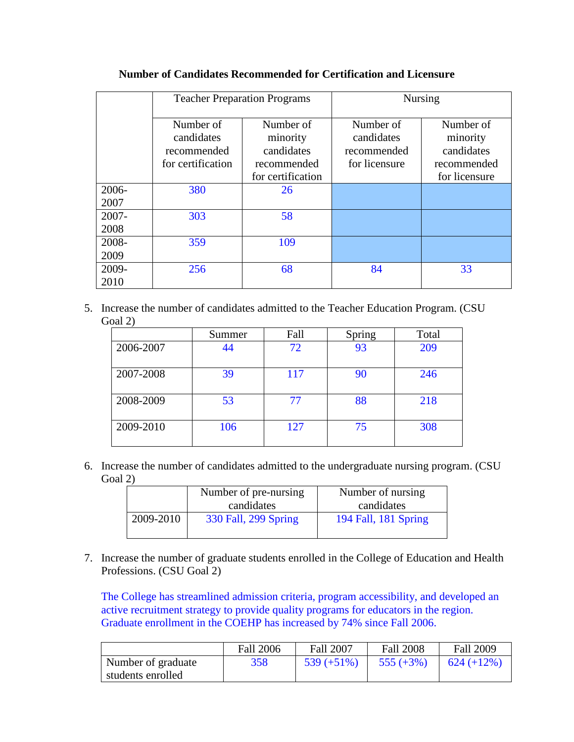|               | <b>Teacher Preparation Programs</b>                         |                                                                         | <b>Nursing</b>                                          |                                                                     |  |
|---------------|-------------------------------------------------------------|-------------------------------------------------------------------------|---------------------------------------------------------|---------------------------------------------------------------------|--|
|               | Number of<br>candidates<br>recommended<br>for certification | Number of<br>minority<br>candidates<br>recommended<br>for certification | Number of<br>candidates<br>recommended<br>for licensure | Number of<br>minority<br>candidates<br>recommended<br>for licensure |  |
| 2006-<br>2007 | 380                                                         | 26                                                                      |                                                         |                                                                     |  |
| 2007-<br>2008 | 303                                                         | 58                                                                      |                                                         |                                                                     |  |
| 2008-<br>2009 | 359                                                         | 109                                                                     |                                                         |                                                                     |  |
| 2009-<br>2010 | 256                                                         | 68                                                                      | 84                                                      | 33                                                                  |  |

### **Number of Candidates Recommended for Certification and Licensure**

5. Increase the number of candidates admitted to the Teacher Education Program. (CSU Goal 2)

|           | Summer | Fall | Spring | Total |
|-----------|--------|------|--------|-------|
| 2006-2007 | 44     | 72   | 93     | 209   |
| 2007-2008 | 39     | 117  | 90     | 246   |
| 2008-2009 | 53     | 77   | 88     | 218   |
| 2009-2010 | 106    | 127  | 75     | 308   |

6. Increase the number of candidates admitted to the undergraduate nursing program. (CSU Goal 2)

|           | Number of pre-nursing | Number of nursing    |
|-----------|-----------------------|----------------------|
|           | candidates            | candidates           |
| 2009-2010 | 330 Fall, 299 Spring  | 194 Fall, 181 Spring |
|           |                       |                      |

7. Increase the number of graduate students enrolled in the College of Education and Health Professions. (CSU Goal 2)

The College has streamlined admission criteria, program accessibility, and developed an active recruitment strategy to provide quality programs for educators in the region. Graduate enrollment in the COEHP has increased by 74% since Fall 2006.

|                    | <b>Fall 2006</b> | <b>Fall 2007</b> | <b>Fall 2008</b> | <b>Fall 2009</b> |
|--------------------|------------------|------------------|------------------|------------------|
| Number of graduate | 358              | $539 (+51%)$     | $555 (+3%)$      | $624 (+12\%)$    |
| students enrolled  |                  |                  |                  |                  |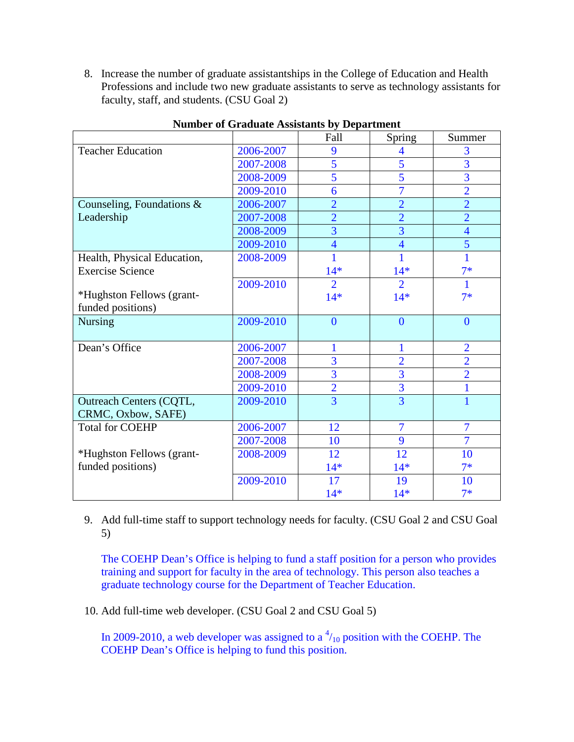8. Increase the number of graduate assistantships in the College of Education and Health Professions and include two new graduate assistants to serve as technology assistants for faculty, staff, and students. (CSU Goal 2)

|                                |           | Fall           | Spring         | Summer         |
|--------------------------------|-----------|----------------|----------------|----------------|
| <b>Teacher Education</b>       | 2006-2007 | 9              | 4              | 3              |
|                                | 2007-2008 | 5              | 5              | $\overline{3}$ |
|                                | 2008-2009 | 5              | 5              | 3              |
|                                | 2009-2010 | 6              | $\overline{7}$ | $\overline{2}$ |
| Counseling, Foundations $\&$   | 2006-2007 | $\overline{2}$ | $\overline{2}$ | $\overline{2}$ |
| Leadership                     | 2007-2008 | $\overline{2}$ | $\overline{2}$ | $\overline{2}$ |
|                                | 2008-2009 | $\overline{3}$ | $\overline{3}$ | $\overline{4}$ |
|                                | 2009-2010 | $\overline{4}$ | $\overline{4}$ | $\overline{5}$ |
| Health, Physical Education,    | 2008-2009 |                |                | 1              |
| <b>Exercise Science</b>        |           | $14*$          | $14*$          | $7*$           |
|                                | 2009-2010 | $\overline{2}$ | $\overline{2}$ | 1              |
| *Hughston Fellows (grant-      |           | $14*$          | $14*$          | $7*$           |
| funded positions)              |           |                |                |                |
| <b>Nursing</b>                 | 2009-2010 | $\overline{0}$ | $\overline{0}$ | $\overline{0}$ |
|                                |           |                |                |                |
| Dean's Office                  | 2006-2007 |                | 1              | $\overline{2}$ |
|                                | 2007-2008 | $\overline{3}$ | $\overline{2}$ | $\overline{2}$ |
|                                | 2008-2009 | $\overline{3}$ | $\overline{3}$ | $\overline{2}$ |
|                                | 2009-2010 | $\overline{2}$ | $\overline{3}$ | 1              |
| <b>Outreach Centers (CQTL,</b> | 2009-2010 | $\overline{3}$ | $\overline{3}$ | 1              |
| CRMC, Oxbow, SAFE)             |           |                |                |                |
| <b>Total for COEHP</b>         | 2006-2007 | 12             | $\overline{7}$ | $\overline{7}$ |
|                                | 2007-2008 | 10             | 9              | $\overline{7}$ |
| *Hughston Fellows (grant-      | 2008-2009 | 12             | 12             | 10             |
| funded positions)              |           | $14*$          | $14*$          | $7*$           |
|                                | 2009-2010 | 17             | 19             | 10             |
|                                |           | $14*$          | $14*$          | $7*$           |

### **Number of Graduate Assistants by Department**

9. Add full-time staff to support technology needs for faculty. (CSU Goal 2 and CSU Goal 5)

The COEHP Dean's Office is helping to fund a staff position for a person who provides training and support for faculty in the area of technology. This person also teaches a graduate technology course for the Department of Teacher Education.

10. Add full-time web developer. (CSU Goal 2 and CSU Goal 5)

In 2009-2010, a web developer was assigned to a  $\frac{4}{10}$  position with the COEHP. The COEHP Dean's Office is helping to fund this position.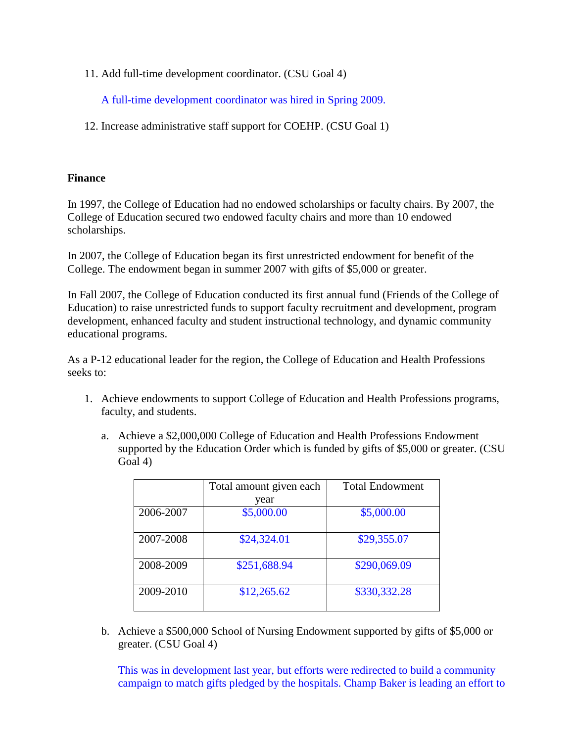11. Add full-time development coordinator. (CSU Goal 4)

A full-time development coordinator was hired in Spring 2009.

12. Increase administrative staff support for COEHP. (CSU Goal 1)

### **Finance**

In 1997, the College of Education had no endowed scholarships or faculty chairs. By 2007, the College of Education secured two endowed faculty chairs and more than 10 endowed scholarships.

In 2007, the College of Education began its first unrestricted endowment for benefit of the College. The endowment began in summer 2007 with gifts of \$5,000 or greater.

In Fall 2007, the College of Education conducted its first annual fund (Friends of the College of Education) to raise unrestricted funds to support faculty recruitment and development, program development, enhanced faculty and student instructional technology, and dynamic community educational programs.

As a P-12 educational leader for the region, the College of Education and Health Professions seeks to:

- 1. Achieve endowments to support College of Education and Health Professions programs, faculty, and students.
	- a. Achieve a \$2,000,000 College of Education and Health Professions Endowment supported by the Education Order which is funded by gifts of \$5,000 or greater. (CSU Goal 4)

|           | Total amount given each | <b>Total Endowment</b> |  |
|-----------|-------------------------|------------------------|--|
|           | vear                    |                        |  |
| 2006-2007 | \$5,000.00              | \$5,000.00             |  |
| 2007-2008 | \$24,324.01             | \$29,355.07            |  |
| 2008-2009 | \$251,688.94            | \$290,069.09           |  |
| 2009-2010 | \$12,265.62             | \$330,332.28           |  |

b. Achieve a \$500,000 School of Nursing Endowment supported by gifts of \$5,000 or greater. (CSU Goal 4)

This was in development last year, but efforts were redirected to build a community campaign to match gifts pledged by the hospitals. Champ Baker is leading an effort to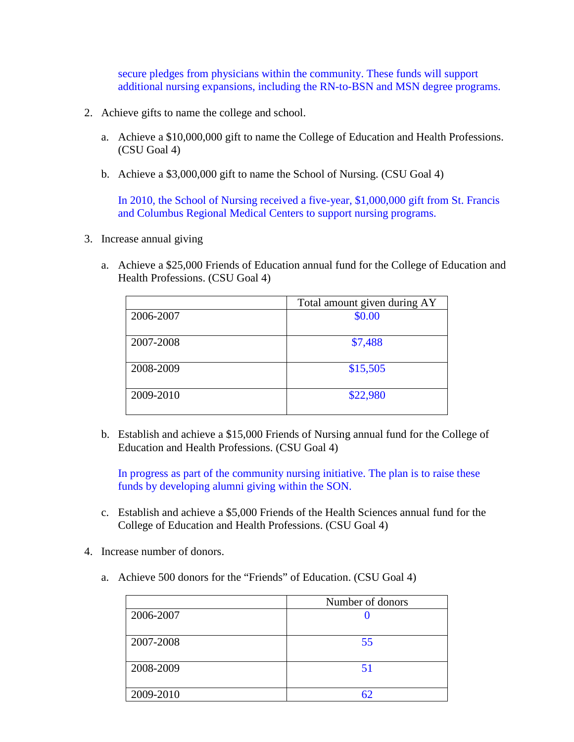secure pledges from physicians within the community. These funds will support additional nursing expansions, including the RN-to-BSN and MSN degree programs.

- 2. Achieve gifts to name the college and school.
	- a. Achieve a \$10,000,000 gift to name the College of Education and Health Professions. (CSU Goal 4)
	- b. Achieve a \$3,000,000 gift to name the School of Nursing. (CSU Goal 4)

In 2010, the School of Nursing received a five-year, \$1,000,000 gift from St. Francis and Columbus Regional Medical Centers to support nursing programs.

- 3. Increase annual giving
	- a. Achieve a \$25,000 Friends of Education annual fund for the College of Education and Health Professions. (CSU Goal 4)

|           | Total amount given during AY |  |  |
|-----------|------------------------------|--|--|
| 2006-2007 | \$0.00                       |  |  |
| 2007-2008 | \$7,488                      |  |  |
| 2008-2009 | \$15,505                     |  |  |
| 2009-2010 | \$22,980                     |  |  |

b. Establish and achieve a \$15,000 Friends of Nursing annual fund for the College of Education and Health Professions. (CSU Goal 4)

In progress as part of the community nursing initiative. The plan is to raise these funds by developing alumni giving within the SON.

- c. Establish and achieve a \$5,000 Friends of the Health Sciences annual fund for the College of Education and Health Professions. (CSU Goal 4)
- 4. Increase number of donors.
	- a. Achieve 500 donors for the "Friends" of Education. (CSU Goal 4)

|           | Number of donors |  |  |
|-----------|------------------|--|--|
| 2006-2007 |                  |  |  |
| 2007-2008 | 55               |  |  |
| 2008-2009 | 51               |  |  |
| 2009-2010 | 62               |  |  |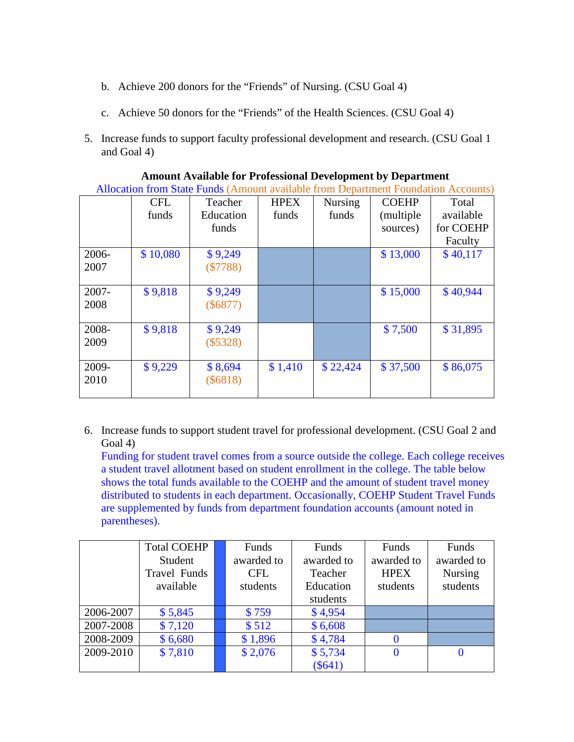- b. Achieve 200 donors for the "Friends" of Nursing. (CSU Goal 4)
- c. Achieve 50 donors for the "Friends" of the Health Sciences. (CSU Goal 4)
- 5. Increase funds to support faculty professional development and research. (CSU Goal 1 and Goal 4)

|               | <b>CFL</b><br>funds | Teacher<br>Education<br>funds | <b>HPEX</b><br>funds | <b>Nursing</b><br>funds | <b>COEHP</b><br>(multiple)<br>sources) | Total<br>available<br>for COEHP<br>Faculty |
|---------------|---------------------|-------------------------------|----------------------|-------------------------|----------------------------------------|--------------------------------------------|
| 2006-<br>2007 | \$10,080            | \$9,249<br>(\$7788)           |                      |                         | \$13,000                               | \$40,117                                   |
| 2007-<br>2008 | \$9,818             | \$9,249<br>$(\$6877)$         |                      |                         | \$15,000                               | \$40,944                                   |
| 2008-<br>2009 | \$9,818             | \$9,249<br>$(\$5328)$         |                      |                         | \$7,500                                | \$31,895                                   |
| 2009-<br>2010 | \$9,229             | \$8,694<br>$(\$6818)$         | \$1,410              | \$22,424                | \$37,500                               | \$86,075                                   |

**Amount Available for Professional Development by Department**

Allocation from State Funds (Amount available from Department Foundation Accounts)

6. Increase funds to support student travel for professional development. (CSU Goal 2 and Goal 4)

Funding for student travel comes from a source outside the college. Each college receives a student travel allotment based on student enrollment in the college. The table below shows the total funds available to the COEHP and the amount of student travel money distributed to students in each department. Occasionally, COEHP Student Travel Funds are supplemented by funds from department foundation accounts (amount noted in parentheses).

|           | <b>Total COEHP</b> | Funds      | Funds      | Funds       | Funds          |
|-----------|--------------------|------------|------------|-------------|----------------|
|           | Student            | awarded to | awarded to | awarded to  | awarded to     |
|           | Travel Funds       | <b>CFL</b> | Teacher    | <b>HPEX</b> | <b>Nursing</b> |
|           | available          | students   | Education  | students    | students       |
|           |                    |            | students   |             |                |
| 2006-2007 | \$5,845            | \$759      | \$4,954    |             |                |
| 2007-2008 | \$7,120            | \$512      | \$6,608    |             |                |
| 2008-2009 | \$6,680            | \$1,896    | \$4,784    |             |                |
| 2009-2010 | \$7,810            | \$2,076    | \$5,734    | $\Omega$    |                |
|           |                    |            | $(\$641)$  |             |                |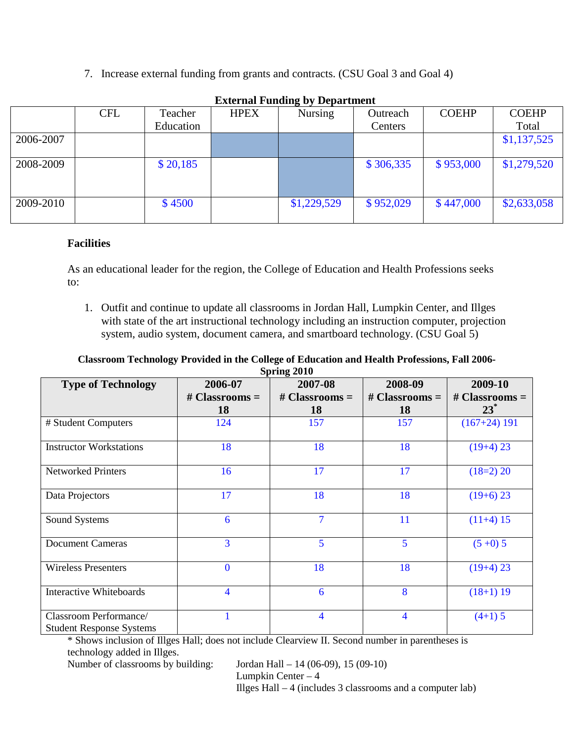7. Increase external funding from grants and contracts. (CSU Goal 3 and Goal 4)

|           | $\frac{1}{2}$ and $\frac{1}{2}$ and $\frac{1}{2}$ and $\frac{1}{2}$ are $\frac{1}{2}$ and $\frac{1}{2}$ |           |             |             |           |              |              |
|-----------|---------------------------------------------------------------------------------------------------------|-----------|-------------|-------------|-----------|--------------|--------------|
|           | <b>CFL</b>                                                                                              | Teacher   | <b>HPEX</b> | Nursing     | Outreach  | <b>COEHP</b> | <b>COEHP</b> |
|           |                                                                                                         | Education |             |             | Centers   |              | Total        |
| 2006-2007 |                                                                                                         |           |             |             |           |              | \$1,137,525  |
| 2008-2009 |                                                                                                         | \$20,185  |             |             | \$306,335 | \$953,000    | \$1,279,520  |
| 2009-2010 |                                                                                                         | \$4500    |             | \$1,229,529 | \$952,029 | \$447,000    | \$2,633,058  |

**External Funding by Department**

### **Facilities**

As an educational leader for the region, the College of Education and Health Professions seeks to:

1. Outfit and continue to update all classrooms in Jordan Hall, Lumpkin Center, and Illges with state of the art instructional technology including an instruction computer, projection system, audio system, document camera, and smartboard technology. (CSU Goal 5)

#### **Classroom Technology Provided in the College of Education and Health Professions, Fall 2006- Spring 2010**

| $v$ pring 2010                                            |                  |                  |                  |                  |  |  |  |  |  |
|-----------------------------------------------------------|------------------|------------------|------------------|------------------|--|--|--|--|--|
| <b>Type of Technology</b>                                 | 2006-07          | 2007-08          | 2008-09          | 2009-10          |  |  |  |  |  |
|                                                           | # Classrooms $=$ | # Classrooms $=$ | # Classrooms $=$ | # Classrooms $=$ |  |  |  |  |  |
|                                                           | 18               | 18               | 18               | $23^*$           |  |  |  |  |  |
| # Student Computers                                       | 124              | 157              | 157              | $(167+24)$ 191   |  |  |  |  |  |
| <b>Instructor Workstations</b>                            | 18               | 18               | 18               | $(19+4)$ 23      |  |  |  |  |  |
| <b>Networked Printers</b>                                 | 16               | 17               | 17               | $(18=2)$ 20      |  |  |  |  |  |
| Data Projectors                                           | 17               | 18               | 18               | $(19+6)$ 23      |  |  |  |  |  |
| Sound Systems                                             | 6                | $\overline{7}$   | 11               | $(11+4)$ 15      |  |  |  |  |  |
| <b>Document Cameras</b>                                   | 3                | 5                | 5                | $(5+0)$ 5        |  |  |  |  |  |
| <b>Wireless Presenters</b>                                | $\bf{0}$         | 18               | 18               | $(19+4)$ 23      |  |  |  |  |  |
| <b>Interactive Whiteboards</b>                            | 4                | 6                | 8                | $(18+1)$ 19      |  |  |  |  |  |
| Classroom Performance/<br><b>Student Response Systems</b> |                  | $\overline{4}$   | $\overline{4}$   | $(4+1)$ 5        |  |  |  |  |  |

\* Shows inclusion of Illges Hall; does not include Clearview II. Second number in parentheses is technology added in Illges.

Number of classrooms by building: Jordan Hall – 14 (06-09), 15 (09-10)

Lumpkin Center – 4 Illges Hall – 4 (includes 3 classrooms and a computer lab)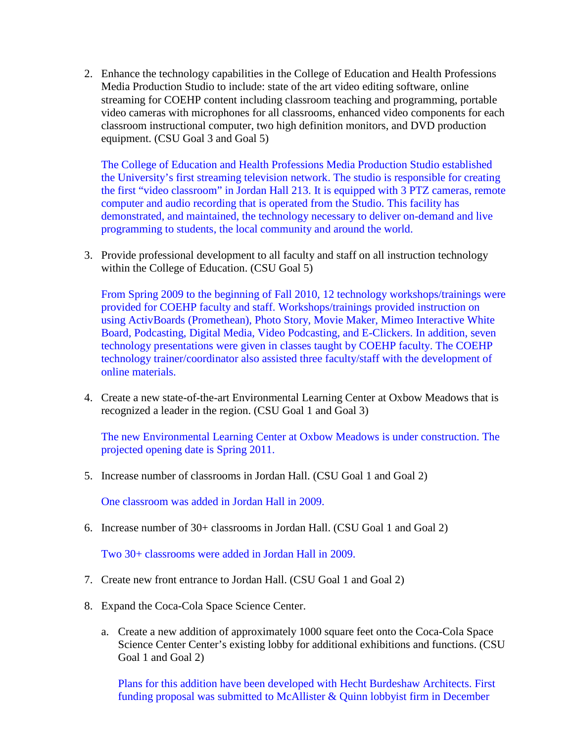2. Enhance the technology capabilities in the College of Education and Health Professions Media Production Studio to include: state of the art video editing software, online streaming for COEHP content including classroom teaching and programming, portable video cameras with microphones for all classrooms, enhanced video components for each classroom instructional computer, two high definition monitors, and DVD production equipment. (CSU Goal 3 and Goal 5)

The College of Education and Health Professions Media Production Studio established the University's first streaming television network. The studio is responsible for creating the first "video classroom" in Jordan Hall 213. It is equipped with 3 PTZ cameras, remote computer and audio recording that is operated from the Studio. This facility has demonstrated, and maintained, the technology necessary to deliver on-demand and live programming to students, the local community and around the world.

3. Provide professional development to all faculty and staff on all instruction technology within the College of Education. (CSU Goal 5)

From Spring 2009 to the beginning of Fall 2010, 12 technology workshops/trainings were provided for COEHP faculty and staff. Workshops/trainings provided instruction on using ActivBoards (Promethean), Photo Story, Movie Maker, Mimeo Interactive White Board, Podcasting, Digital Media, Video Podcasting, and E-Clickers. In addition, seven technology presentations were given in classes taught by COEHP faculty. The COEHP technology trainer/coordinator also assisted three faculty/staff with the development of online materials.

4. Create a new state-of-the-art Environmental Learning Center at Oxbow Meadows that is recognized a leader in the region. (CSU Goal 1 and Goal 3)

The new Environmental Learning Center at Oxbow Meadows is under construction. The projected opening date is Spring 2011.

5. Increase number of classrooms in Jordan Hall. (CSU Goal 1 and Goal 2)

One classroom was added in Jordan Hall in 2009.

6. Increase number of 30+ classrooms in Jordan Hall. (CSU Goal 1 and Goal 2)

Two 30+ classrooms were added in Jordan Hall in 2009.

- 7. Create new front entrance to Jordan Hall. (CSU Goal 1 and Goal 2)
- 8. Expand the Coca-Cola Space Science Center.
	- a. Create a new addition of approximately 1000 square feet onto the Coca-Cola Space Science Center Center's existing lobby for additional exhibitions and functions. (CSU Goal 1 and Goal 2)

Plans for this addition have been developed with Hecht Burdeshaw Architects. First funding proposal was submitted to McAllister & Quinn lobbyist firm in December